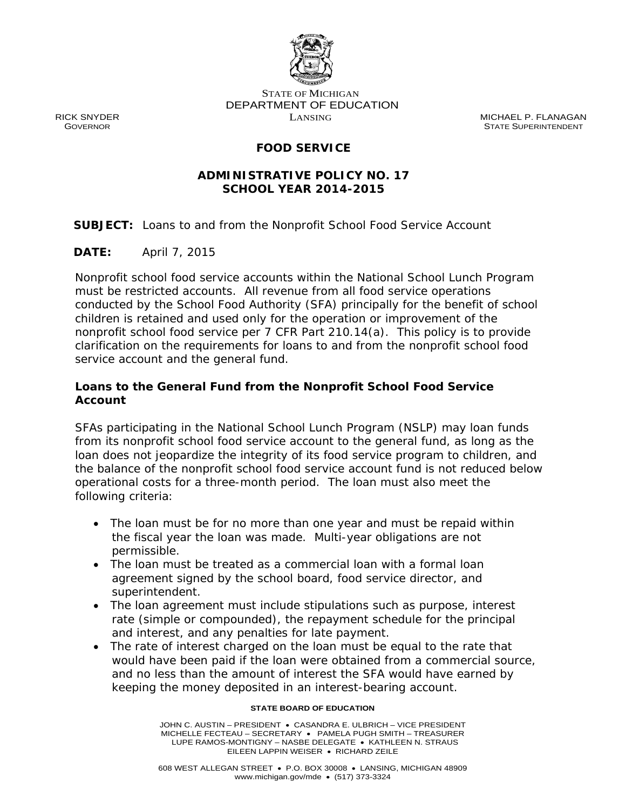

STATE OF MICHIGAN DEPARTMENT OF EDUCATION

RICK SNYDER LANSING MICHAEL P. FLANAGAN **STATE SUPERINTENDENT** 

# **FOOD SERVICE**

### **ADMINISTRATIVE POLICY NO. 17 SCHOOL YEAR 2014-2015**

**SUBJECT:** Loans to and from the Nonprofit School Food Service Account

**DATE:** April 7, 2015

Nonprofit school food service accounts within the National School Lunch Program must be restricted accounts. All revenue from all food service operations conducted by the School Food Authority (SFA) principally for the benefit of school children is retained and used only for the operation or improvement of the nonprofit school food service per 7 CFR Part 210.14(a). This policy is to provide clarification on the requirements for loans to and from the nonprofit school food service account and the general fund.

### **Loans to the General Fund from the Nonprofit School Food Service Account**

 from its nonprofit school food service account to the general fund, as long as the loan does not jeopardize the integrity of its food service program to children, and SFAs participating in the National School Lunch Program (NSLP) may loan funds the balance of the nonprofit school food service account fund is not reduced below operational costs for a three-month period. The loan must also meet the following criteria:

- The loan must be for no more than one year and must be repaid within the fiscal year the loan was made. Multi-year obligations are not permissible.
- The loan must be treated as a commercial loan with a formal loan agreement signed by the school board, food service director, and superintendent.
- The loan agreement must include stipulations such as purpose, interest rate (simple or compounded), the repayment schedule for the principal and interest, and any penalties for late payment.
- The rate of interest charged on the loan must be equal to the rate that would have been paid if the loan were obtained from a commercial source, and no less than the amount of interest the SFA would have earned by keeping the money deposited in an interest-bearing account.

#### **STATE BOARD OF EDUCATION**

 JOHN C. AUSTIN – PRESIDENT CASANDRA E. ULBRICH – VICE PRESIDENT MICHELLE FECTEAU – SECRETARY PAMELA PUGH SMITH – TREASURER LUPE RAMOS-MONTIGNY - NASBE DELEGATE • KATHLEEN N. STRAUS EILEEN LAPPIN WEISER · RICHARD ZEILE